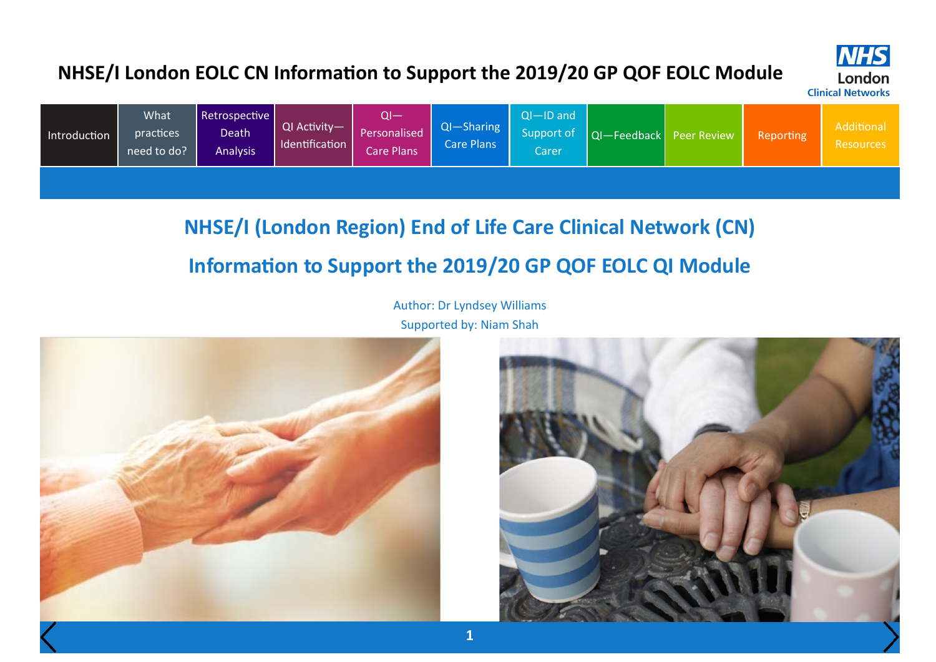

**NHS** 

London

| Introduction | <b>What</b><br>practices<br>need to do? | Retrospective  <br>Death<br><b>Analysis</b> | $QI$ Activity-<br>Identification | $\mathsf{QI}-$<br>Personalised<br>Care Plans | QI-Sharing  <br><b>Care Plans</b> | $O-ID$ and<br>Support of<br>Carer |  | $\vert$ QI-Feedback Peer Review | Reporting | Additional<br>Resources |
|--------------|-----------------------------------------|---------------------------------------------|----------------------------------|----------------------------------------------|-----------------------------------|-----------------------------------|--|---------------------------------|-----------|-------------------------|
|--------------|-----------------------------------------|---------------------------------------------|----------------------------------|----------------------------------------------|-----------------------------------|-----------------------------------|--|---------------------------------|-----------|-------------------------|

### **NHSE/I (London Region) End of Life Care Clinical Network (CN)**

### **Information to Support the 2019/20 GP QOF EOLC QI Module**

Author: Dr Lyndsey Williams Supported by: Niam Shah



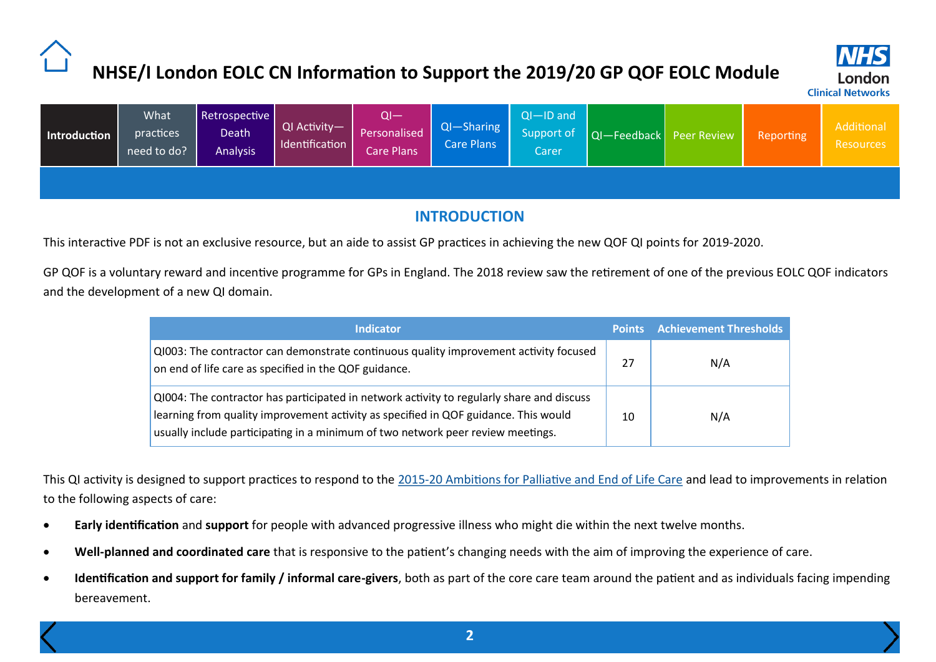

<span id="page-1-0"></span>

| Introduction | What<br>practices<br>need to do? | Retrospective<br>Death <sup>1</sup><br><b>Analysis</b> | QI Activity-<br>Identification | QI—<br>Personalised<br>Care Plans | $QI - Sharing$<br>Care Plans | $QI - ID$ and<br>Support of<br>Carer | QI-Feedback Peer Review | Reporting | Additional<br><b>Resources</b> |
|--------------|----------------------------------|--------------------------------------------------------|--------------------------------|-----------------------------------|------------------------------|--------------------------------------|-------------------------|-----------|--------------------------------|
|              |                                  |                                                        |                                |                                   |                              |                                      |                         |           |                                |

### **INTRODUCTION**

This interactive PDF is not an exclusive resource, but an aide to assist GP practices in achieving the new QOF QI points for 2019-2020.

GP QOF is a voluntary reward and incentive programme for GPs in England. The 2018 review saw the retirement of one of the previous EOLC QOF indicators and the development of a new QI domain.

| <b>Indicator</b>                                                                                                                                                                                                                                                    |    | Points Achievement Thresholds |
|---------------------------------------------------------------------------------------------------------------------------------------------------------------------------------------------------------------------------------------------------------------------|----|-------------------------------|
| QI003: The contractor can demonstrate continuous quality improvement activity focused<br>on end of life care as specified in the QOF guidance.                                                                                                                      | 27 | N/A                           |
| QI004: The contractor has participated in network activity to regularly share and discuss<br>learning from quality improvement activity as specified in QOF guidance. This would<br>usually include participating in a minimum of two network peer review meetings. | 10 | N/A                           |

This QI activity is designed to support practices to respond to the 2015-[20 Ambitions for Palliative and End of Life Care](http://endoflifecareambitions.org.uk/wp-content/uploads/2015/09/Ambitions-for-Palliative-and-End-of-Life-Care.pdf) and lead to improvements in relation to the following aspects of care:

- **Early identification** and **support** for people with advanced progressive illness who might die within the next twelve months.
- **Well-planned and coordinated care** that is responsive to the patient's changing needs with the aim of improving the experience of care.
- **Identification and support for family / informal care-givers**, both as part of the core care team around the patient and as individuals facing impending bereavement.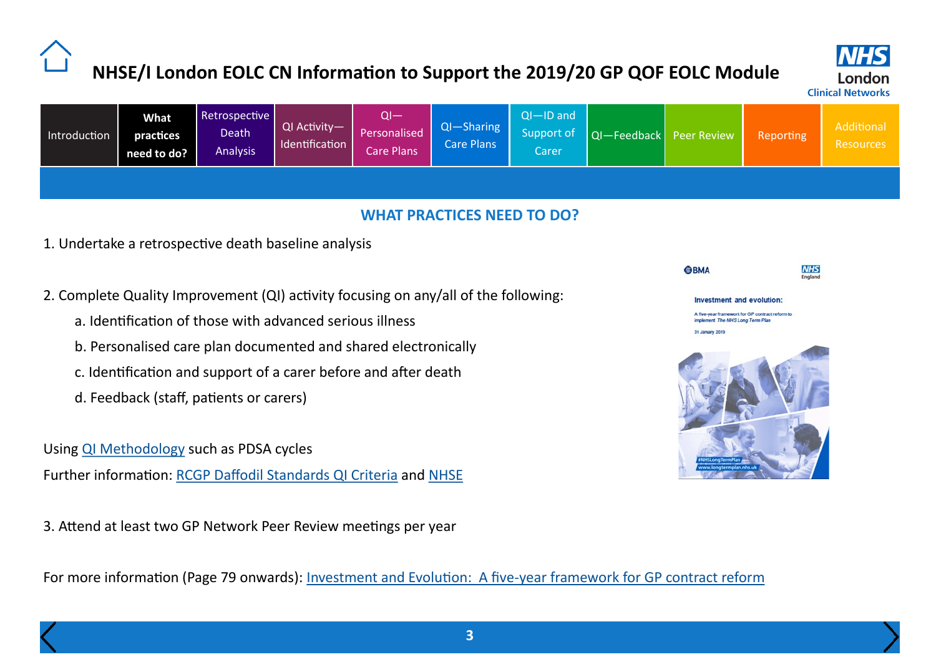

<span id="page-2-0"></span>

| Introduction | <b>What</b><br>practices<br>need to do? | Retrospective<br>Death<br><b>Analysis</b> | QI Activity—1<br>Identification | Personalised<br><b>Care Plans</b> | QI-Sharing<br><b>Care Plans</b> | $QI - ID$ and<br>Support of<br>Carer | QI-Feedback Peer Review |  | Reporting | Additional<br><b>Resources</b> |
|--------------|-----------------------------------------|-------------------------------------------|---------------------------------|-----------------------------------|---------------------------------|--------------------------------------|-------------------------|--|-----------|--------------------------------|
|--------------|-----------------------------------------|-------------------------------------------|---------------------------------|-----------------------------------|---------------------------------|--------------------------------------|-------------------------|--|-----------|--------------------------------|

#### **WHAT PRACTICES NEED TO DO?**

- 1. Undertake a retrospective death baseline analysis
- 2. Complete Quality Improvement (QI) activity focusing on any/all of the following:
	- a. Identification of those with advanced serious illness
	- b. Personalised care plan documented and shared electronically
	- c. Identification and support of a carer before and after death
	- d. Feedback (staff, patients or carers)
- Using [QI Methodology](https://www.rcgp.org.uk/clinical-and-research/resources/a-to-z-clinical-resources/daffodil-standards/~/link.aspx?_id=A08BF8BD791243F8A3EDAF003ABEAEAB&_z=z) such as PDSA cycles

Further information: [RCGP Daffodil Standards QI Criteria](https://www.rcgp.org.uk/clinical-and-research/resources/a-to-z-clinical-resources/daffodil-standards/quality-improvement-criteria-guidance.aspx) and [NHSE](https://www.england.nhs.uk/improvement-hub/publication/first-steps-towards-quality-improvement-a-simple-guide-to-improving-services/)

3. Attend at least two GP Network Peer Review meetings per year

For more information (Page 79 onwards): Investment and Evolution: A five-[year framework for GP contract reform](https://www.england.nhs.uk/wp-content/uploads/2019/01/gp-contract-2019.pdf)

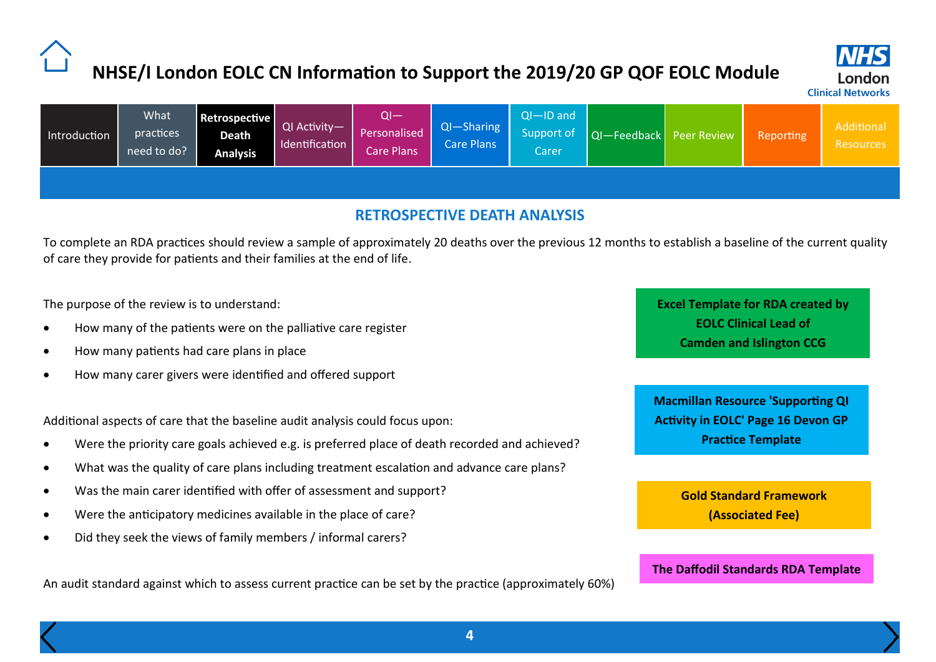

<span id="page-3-0"></span>

|  | Introduction | <b>What</b><br>practices<br>need to do? | Retrospective<br><b>Death</b><br><b>Analysis</b> | QI Activity— <sup> </sup><br>dentification | QI—<br>Personalised<br>Care Plans | $QI - Sharing$<br>Care Plans | $QI - ID$ and<br>Support of<br>Carer | $ Q $ - Feedback $ P$ eer Review |  | Reporting | Additional<br><b>Resources</b> |
|--|--------------|-----------------------------------------|--------------------------------------------------|--------------------------------------------|-----------------------------------|------------------------------|--------------------------------------|----------------------------------|--|-----------|--------------------------------|
|--|--------------|-----------------------------------------|--------------------------------------------------|--------------------------------------------|-----------------------------------|------------------------------|--------------------------------------|----------------------------------|--|-----------|--------------------------------|

#### **RETROSPECTIVE DEATH ANALYSIS**

To complete an RDA practices should review a sample of approximately 20 deaths over the previous 12 months to establish a baseline of the current quality of care they provide for patients and their families at the end of life.

The purpose of the review is to understand:

- How many of the patients were on the palliative care register
- How many patients had care plans in place
- How many carer givers were identified and offered support

Additional aspects of care that the baseline audit analysis could focus upon:

- Were the priority care goals achieved e.g. is preferred place of death recorded and achieved?
- What was the quality of care plans including treatment escalation and advance care plans?
- Was the main carer identified with offer of assessment and support?
- Were the anticipatory medicines available in the place of care?
- Did they seek the views of family members / informal carers?

An audit standard against which to assess current practice can be set by the practice (approximately 60%)

**[Excel Template for RDA created by](http://www.londonscn.nhs.uk/publication/ada-audit-camden-201819/)  EOLC Clinical Lead of Camden and Islington CCG**

**[Macmillan Resource 'Supporting QI](https://www.macmillan.org.uk/_images/quality-improvement-for-primary-and-community-care_tcm9-351804.pdf)  Activity in EOLC' Page 16 Devon GP Practice Template**

> **[Gold Standard Framework](http://www.goldstandardsframework.org.uk/ada-login.php) (Associated Fee)**

**[The Daffodil Standards RDA Template](http://www.londonscn.nhs.uk/publication/daffodil-standards-example-mdt-mortality-review-template-for-deaths/)**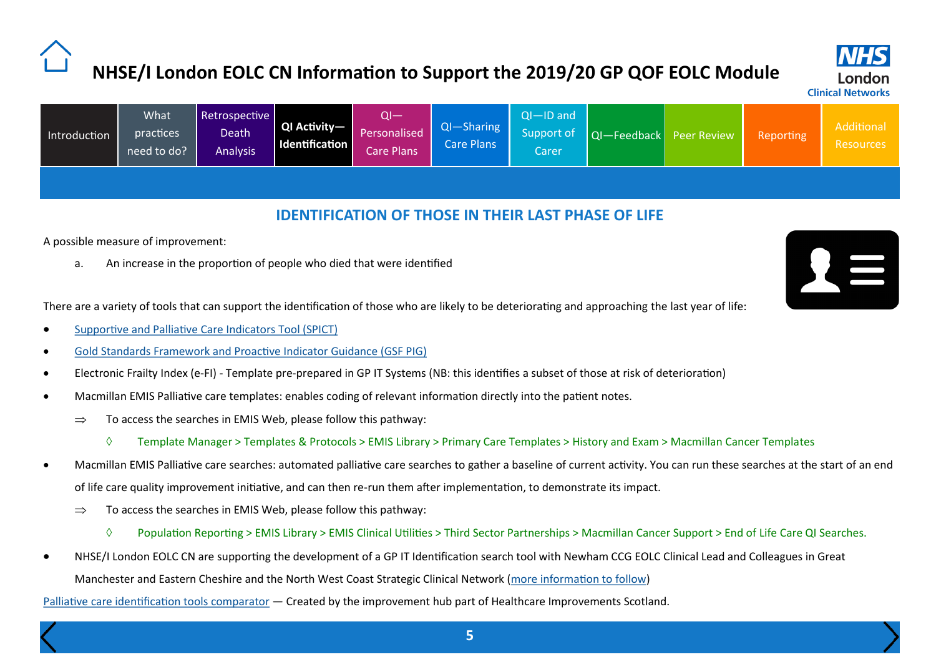**Clinical Networks** 

<span id="page-4-0"></span>

| Introduction | <b>What</b><br>practices<br>need to do?' | Retrospective<br>Death <sup>1</sup><br><b>Analysis</b> | QI Activity-<br><b>Identification</b> | 01—<br>Personalised<br>Care Plans <sup>1</sup> | $QI - Sharing$<br><b>Care Plans</b> | $Q$ I $-$ ID and<br>Support of<br>Carer |  | QI-Feedback Peer Review | Reporting | Additional<br><b>Resources</b> |
|--------------|------------------------------------------|--------------------------------------------------------|---------------------------------------|------------------------------------------------|-------------------------------------|-----------------------------------------|--|-------------------------|-----------|--------------------------------|
|--------------|------------------------------------------|--------------------------------------------------------|---------------------------------------|------------------------------------------------|-------------------------------------|-----------------------------------------|--|-------------------------|-----------|--------------------------------|

#### **IDENTIFICATION OF THOSE IN THEIR LAST PHASE OF LIFE**

A possible measure of improvement:

a. An increase in the proportion of people who died that were identified

There are a variety of tools that can support the identification of those who are likely to be deteriorating and approaching the last year of life:

- [Supportive and Palliative Care Indicators Tool \(SPICT\)](https://www.spict.org.uk/)
- [Gold Standards Framework and Proactive Indicator Guidance \(GSF PIG\)](https://www.goldstandardsframework.org.uk/cd-content/uploads/files/General%20Files/Prognostic%20Indicator%20Guidance%20October%202011.pdf)
- Electronic Frailty Index (e-FI) Template pre-prepared in GP IT Systems (NB: this identifies a subset of those at risk of deterioration)
- Macmillan EMIS Palliative care templates: enables coding of relevant information directly into the patient notes.
	- $\Rightarrow$  To access the searches in EMIS Web, please follow this pathway:
		- $\Diamond$  Template Manager > Templates & Protocols > EMIS Library > Primary Care Templates > History and Exam > Macmillan Cancer Templates
- Macmillan EMIS Palliative care searches: automated palliative care searches to gather a baseline of current activity. You can run these searches at the start of an end of life care quality improvement initiative, and can then re-run them after implementation, to demonstrate its impact.
	- $\Rightarrow$  To access the searches in EMIS Web, please follow this pathway:
		- $\Diamond$  Population Reporting > EMIS Library > EMIS Clinical Utilities > Third Sector Partnerships > Macmillan Cancer Support > End of Life Care QI Searches.
- NHSE/I London EOLC CN are supporting the development of a GP IT Identification search tool with Newham CCG EOLC Clinical Lead and Colleagues in Great Manchester and Eastern Cheshire and the North West Coast Strategic Clinical Network ([more information to follow\)](http://www.londonscn.nhs.uk/networks/others/end-of-life-care/)

[Palliative care identification tools comparator](https://ihub.scot/media/2079/palliative-care-identification-tools-comparator.pdf) — Created by the improvement hub part of Healthcare Improvements Scotland.

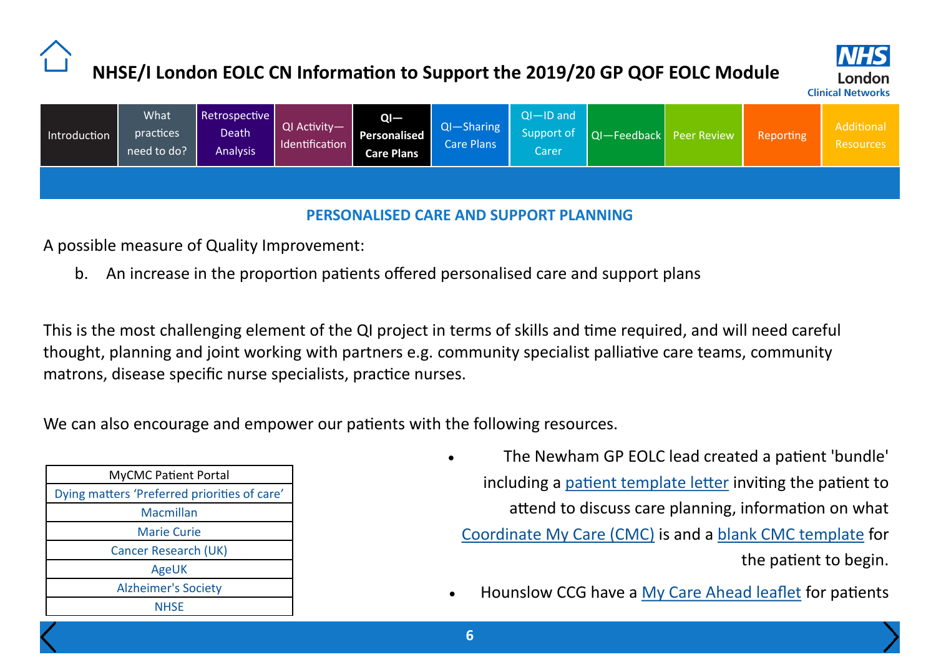

<span id="page-5-0"></span>

| Introduction | What<br><i>practices</i><br>need to do? | Retrospective<br>Death<br><b>Analysis</b> | QI Activity-<br>Identification | $QI -$<br>Personalised<br><b>Care Plans</b> | $QI - Sharing$<br><b>Care Plans</b> | $Q$ I $-$ ID and<br>Support of<br>Carer | QI-Feedback Peer Review | Reporting | Additional<br><b>Resources</b> |
|--------------|-----------------------------------------|-------------------------------------------|--------------------------------|---------------------------------------------|-------------------------------------|-----------------------------------------|-------------------------|-----------|--------------------------------|
|              |                                         |                                           |                                |                                             |                                     |                                         |                         |           |                                |

### **PERSONALISED CARE AND SUPPORT PLANNING**

A possible measure of Quality Improvement:

b. An increase in the proportion patients offered personalised care and support plans

This is the most challenging element of the QI project in terms of skills and time required, and will need careful thought, planning and joint working with partners e.g. community specialist palliative care teams, community matrons, disease specific nurse specialists, practice nurses.

We can also encourage and empower our patients with the following resources.

| <b>MyCMC Patient Portal</b>                  |  |  |  |  |  |  |  |  |
|----------------------------------------------|--|--|--|--|--|--|--|--|
| Dying matters 'Preferred priorities of care' |  |  |  |  |  |  |  |  |
| Macmillan                                    |  |  |  |  |  |  |  |  |
| <b>Marie Curie</b>                           |  |  |  |  |  |  |  |  |
| Cancer Research (UK)                         |  |  |  |  |  |  |  |  |
| AgeUK                                        |  |  |  |  |  |  |  |  |
| <b>Alzheimer's Society</b>                   |  |  |  |  |  |  |  |  |
| <b>NHSE</b>                                  |  |  |  |  |  |  |  |  |

- The Newham GP EOLC lead created a patient 'bundle' including a [patient template letter](http://www.londonscn.nhs.uk/publication/cmc-patient-letter-template/) inviting the patient to attend to discuss care planning, information on what [Coordinate My Care \(CMC\)](http://www.londonscn.nhs.uk/wp-content/uploads/2019/05/CMC-Patient-Leaflet.pdf) is and a [blank CMC template](http://www.londonscn.nhs.uk/publication/cmc-care-plan-template/) for the patient to begin.
	- Hounslow CCG have a [My Care Ahead leaflet](http://www.londonscn.nhs.uk/wp-content/uploads/2019/05/Hounslow-My-Care-Ahead-Leaflet.pdf) for patients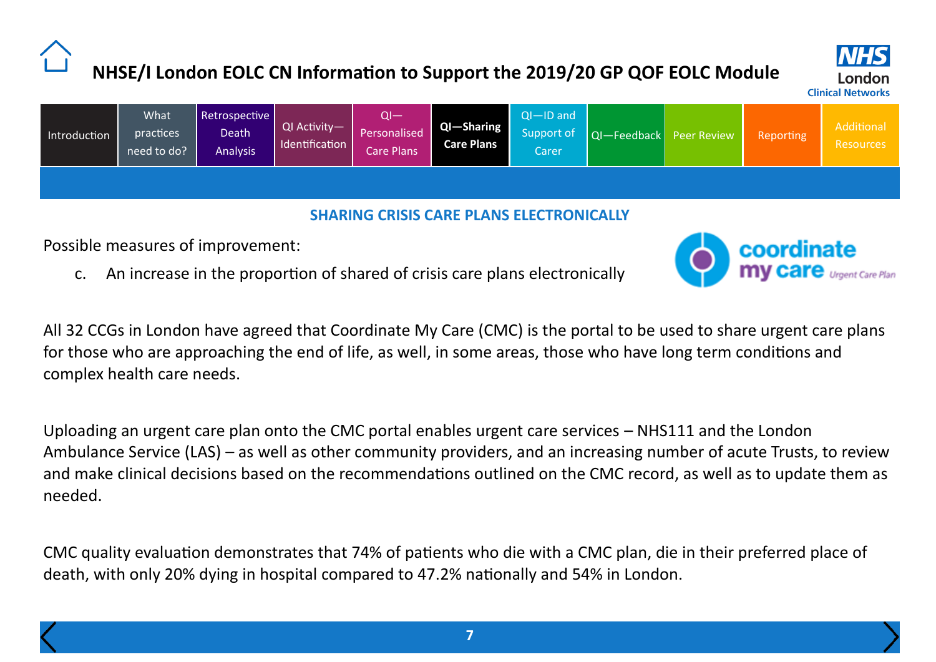

<span id="page-6-0"></span>

| Introduction | <b>What</b><br>practices<br>need to do? | Retrospective<br>Death <sup>1</sup><br><b>Analysis</b> | QI Activity-<br>Identification | QI—<br>Personalised<br>Care Plans | $QI - Sharing$<br><b>Care Plans</b> | $Q$ I $-$ ID and<br>Support of<br>Carer | $ Q $ - Feedback $ $ Peer Review | Reporting | Additional<br><b>Resources</b> |
|--------------|-----------------------------------------|--------------------------------------------------------|--------------------------------|-----------------------------------|-------------------------------------|-----------------------------------------|----------------------------------|-----------|--------------------------------|
|              |                                         |                                                        |                                |                                   |                                     |                                         |                                  |           |                                |

#### **SHARING CRISIS CARE PLANS ELECTRONICALLY**

Possible measures of improvement:

c. An increase in the proportion of shared of crisis care plans electronically



All 32 CCGs in London have agreed that Coordinate My Care (CMC) is the portal to be used to share urgent care plans for those who are approaching the end of life, as well, in some areas, those who have long term conditions and complex health care needs.

Uploading an urgent care plan onto the CMC portal enables urgent care services – NHS111 and the London Ambulance Service (LAS) – as well as other community providers, and an increasing number of acute Trusts, to review and make clinical decisions based on the recommendations outlined on the CMC record, as well as to update them as needed.

CMC quality evaluation demonstrates that 74% of patients who die with a CMC plan, die in their preferred place of death, with only 20% dying in hospital compared to 47.2% nationally and 54% in London.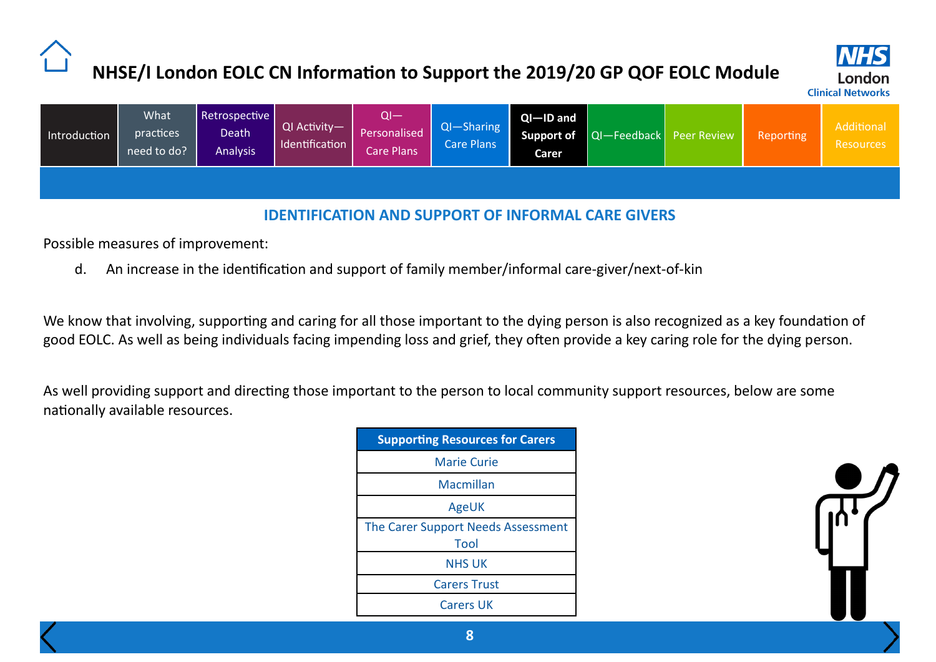

<span id="page-7-0"></span>

|  | Introduction | What<br>practices<br>need to do? | Retrospective  <br>Death<br><b>Analysis</b> | QI Activity-<br>Identification | ∩l—<br>Personalised<br>Care Plans' | $QI - Sharing$<br><b>Care Plans</b> | $QI - ID$ and<br>Carer |  | Support of QI-Feedback Peer Review | Reporting | <b>Additional</b><br>Resources |
|--|--------------|----------------------------------|---------------------------------------------|--------------------------------|------------------------------------|-------------------------------------|------------------------|--|------------------------------------|-----------|--------------------------------|
|--|--------------|----------------------------------|---------------------------------------------|--------------------------------|------------------------------------|-------------------------------------|------------------------|--|------------------------------------|-----------|--------------------------------|

### **IDENTIFICATION AND SUPPORT OF INFORMAL CARE GIVERS**

Possible measures of improvement:

d. An increase in the identification and support of family member/informal care-giver/next-of-kin

We know that involving, supporting and caring for all those important to the dying person is also recognized as a key foundation of good EOLC. As well as being individuals facing impending loss and grief, they often provide a key caring role for the dying person.

As well providing support and directing those important to the person to local community support resources, below are some nationally available resources.

| <b>Supporting Resources for Carers</b>     |
|--------------------------------------------|
| <b>Marie Curie</b>                         |
| Macmillan                                  |
| AgeUK                                      |
| The Carer Support Needs Assessment<br>Tool |
| <b>NHS UK</b>                              |
| <b>Carers Trust</b>                        |
| <b>Carers UK</b>                           |

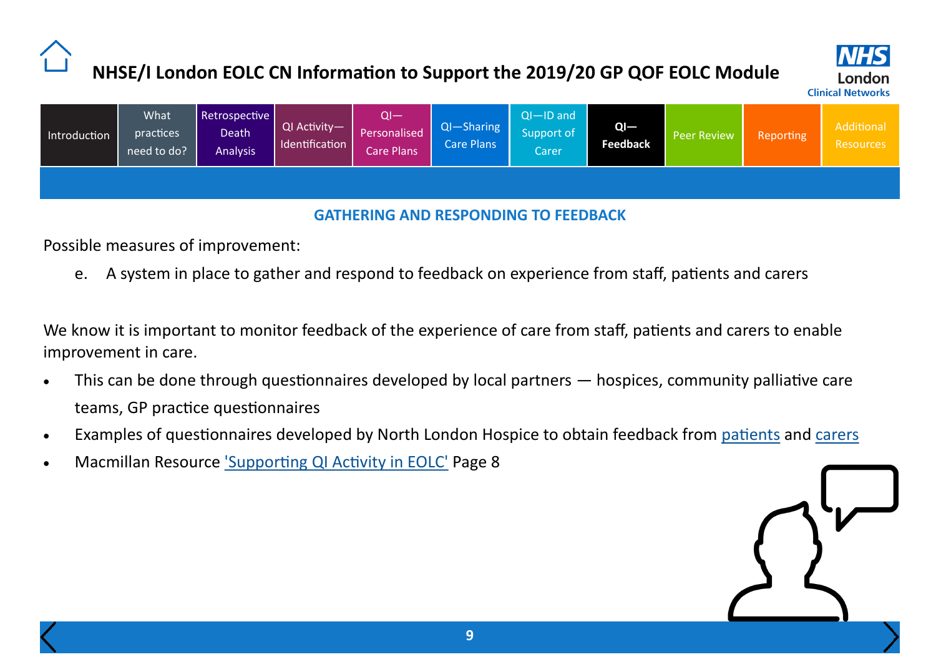

<span id="page-8-0"></span>

| Introduction | What<br>practices<br>need to do? | Retrospective<br>Death<br><b>Analysis</b> | QI Activity— <sup>1</sup><br>Identification | $Q$ $-$<br>Personalised<br>Care Plans <sup>'</sup> | $QI - Sharing$<br>Care Plans | $Q$ I $-$ ID and<br>Support of<br>Carer | $QI -$<br><b>Feedback</b> | Peer Review | Reporting | Additional<br>Resources |
|--------------|----------------------------------|-------------------------------------------|---------------------------------------------|----------------------------------------------------|------------------------------|-----------------------------------------|---------------------------|-------------|-----------|-------------------------|
|              |                                  |                                           |                                             |                                                    |                              |                                         |                           |             |           |                         |

### **GATHERING AND RESPONDING TO FEEDBACK**

Possible measures of improvement:

e. A system in place to gather and respond to feedback on experience from staff, patients and carers

We know it is important to monitor feedback of the experience of care from staff, patients and carers to enable improvement in care.

- This can be done through questionnaires developed by local partners hospices, community palliative care teams, GP practice questionnaires
- Examples of questionnaires developed by North London Hospice to obtain feedback from [patients](http://www.londonscn.nhs.uk/publication/ct-pats-2019-stp-amends-2/) and [carers](http://www.londonscn.nhs.uk/publication/ct-rels-2019-stp-amends-2/)
- Macmillan Resource ['Supporting QI Activity in EOLC'](http://www.londonscn.nhs.uk/wp-content/uploads/2019/05/EOLC-Network-Support-Document.pdf) Page 8

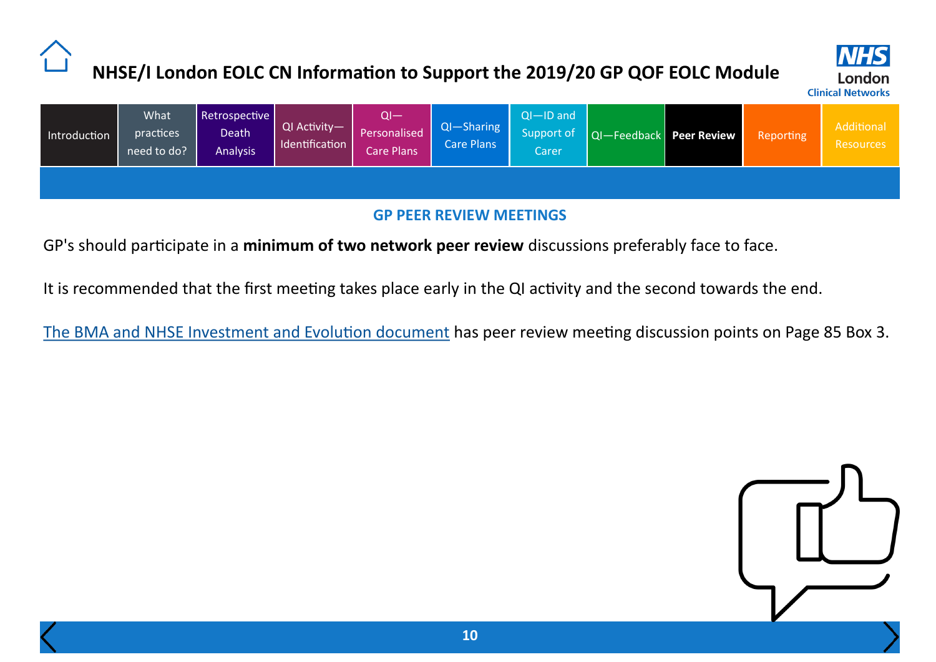

<span id="page-9-0"></span>

| Introduction | What<br>practices<br>need to do? | Retrospective  <br>Death<br><b>Analysis</b> | QI Activity-<br>Identification | QI—<br><b>Personalised</b><br>Care Plans | $QI - Sharing$<br>Care Plans | $Q$ —ID and<br>Support of<br>Carer | QI-Feedback Peer Review | <b>Reporting</b> | Additional<br>Resources |
|--------------|----------------------------------|---------------------------------------------|--------------------------------|------------------------------------------|------------------------------|------------------------------------|-------------------------|------------------|-------------------------|
|              |                                  |                                             |                                |                                          |                              |                                    |                         |                  |                         |

### **GP PEER REVIEW MEETINGS**

GP's should participate in a **minimum of two network peer review** discussions preferably face to face.

It is recommended that the first meeting takes place early in the QI activity and the second towards the end.

[The BMA and NHSE Investment and Evolution document](https://www.england.nhs.uk/wp-content/uploads/2019/01/gp-contract-2019.pdf) has peer review meeting discussion points on Page 85 Box 3.

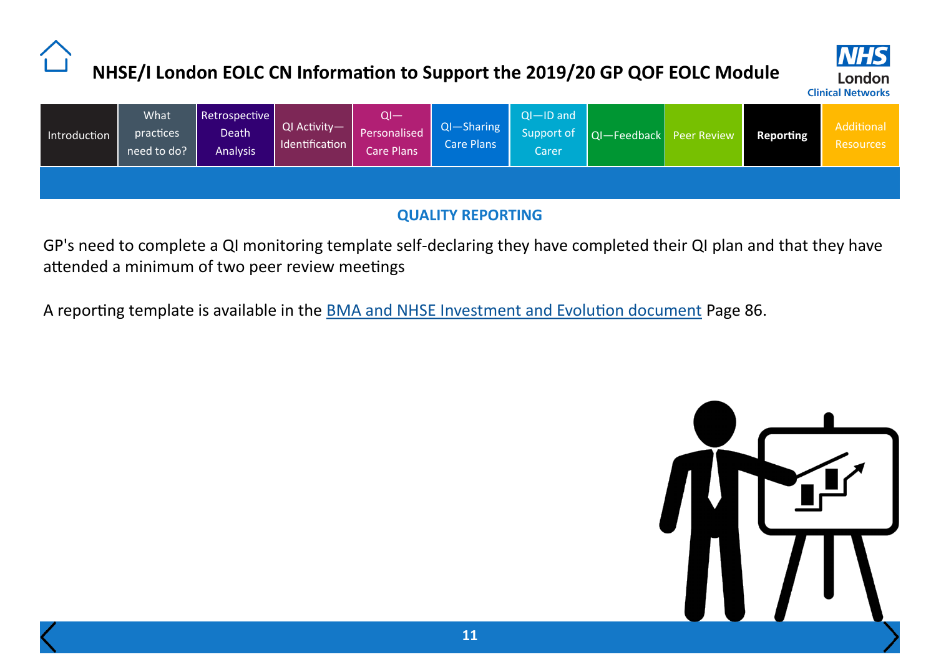

<span id="page-10-0"></span>

| Introduction | What<br>practices<br>need to do? | Retrospective<br>Death<br><b>Analysis</b> | QI Activity-<br>Identification | $Q$ l $-$<br><b>Personalised</b><br>Care Plans | $QI - Sharing$<br><b>Care Plans</b> | $QI - ID$ and<br>Support of<br>Carer | QI-Feedback Peer Review | <b>Reporting</b> | <b>Additional</b><br>Resources |
|--------------|----------------------------------|-------------------------------------------|--------------------------------|------------------------------------------------|-------------------------------------|--------------------------------------|-------------------------|------------------|--------------------------------|
|              |                                  |                                           |                                |                                                |                                     |                                      |                         |                  |                                |

### **QUALITY REPORTING**

GP's need to complete a QI monitoring template self-declaring they have completed their QI plan and that they have attended a minimum of two peer review meetings

A reporting template is available in the **[BMA and NHSE Investment and Evolution document](https://www.england.nhs.uk/wp-content/uploads/2019/01/gp-contract-2019.pdf)** Page 86.